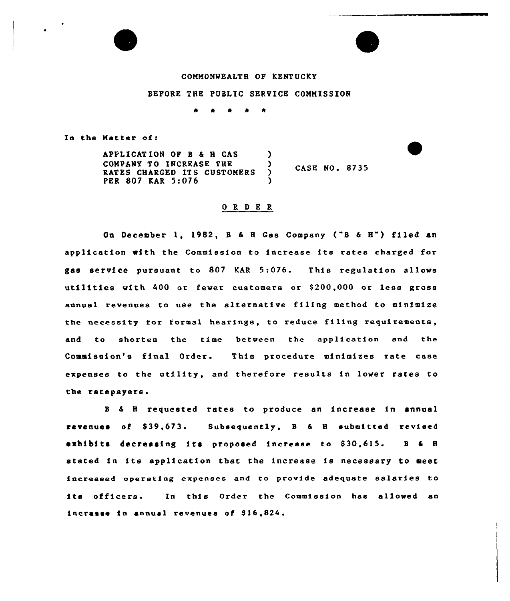

# COMMONWEALTH OF KENTUCKY

### BEFORE THE PUBLIC SERVICE COMMISSION

 $\star$  $\bullet$ 

In the Matter of:

APPLICATION OF B & H GAS )<br>COMPANY TO INCREASE THE ) COMPANY TO INCREASE THE ) CASE NO. 8735 RATES CHARGED ITS CUSTOMERS PER 807 KAR 5:076

### 0 R <sup>D</sup> E R

On December 1, 1982, <sup>B</sup> & <sup>H</sup> Gas Company ("B & H") filed an application with the Commission to increase its rates charged for gas service pursuant to 802 KAR 5:076. This regulation allows utilities with 400 or fewer customers or S200,000 or less gross annual revenues to use the alternative filing method to minimize the necessity for formal hearings, to reduce filing requirements, and to shorten the time between the application and the Commission's final Order. This procedure minimizes rate case expenses to the utility, and therefore results in lower rates to the ratepayers.

<sup>B</sup> & <sup>H</sup> requested rates to produce an increase in annual revenues of \$39,673. Subsequently, B & H submitted revised exhibits decreasing its proposed increase to \$30,615. B & H stated in its application that the increase is necessary to meet increased operating expenses and to provide adequate salaries to its officers. In this Order the Commission has allowed an increase in annual revenues of \$16,824.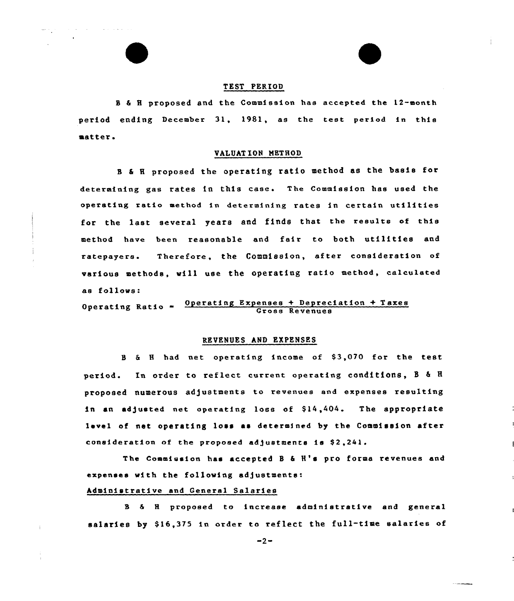### TEST PERIOD

E

 $\hat{p}$  , and  $\hat{p}$  , and  $\hat{p}$  , and  $\hat{p}$  , and  $\hat{p}$  , and  $\hat{p}$ 

<sup>B</sup> & 8 proposed and the Commission has accepted the 12-month period ending December 31, 1981, as the test period in this matter.

#### VALUATION METHOD

<sup>B</sup> & 8 proposed the operating ratio method as the basis for determining gas rates in this case. The Commission has used the operating ratio method in determining rates in certain utilities for the last several years and finds that the results of this method have been reasonable and fair to both utilities and ratepayers. Therefore, the Commission, after consideration of various methods, will use the operating ratio method, calculated as follows:

Operating Ratio - Operating Expenses + Depreciation + Taxes Gross Revenues

## REVENUES AND EXPENSES

<sup>B</sup> & 8 had net operating income of S3,070 for the test period. In order to reflect current operating conditions, B & H proposed numerous adjustments to revenues end expenses resulting in an adjusted net operating loss of \$14,404. The appropriate level of net operating loss as determined by the Commission after consideration of the proposed adjustments is \$2,241.

The Commission has accepted B & H's pro forma revenues and expenses with the following adjustments:

## Administrative and General Salaries

<sup>B</sup> & 8 proposed to increase administrative and general salaries by \$16.375 in order to reflect the full-time salaries of

 $-2-$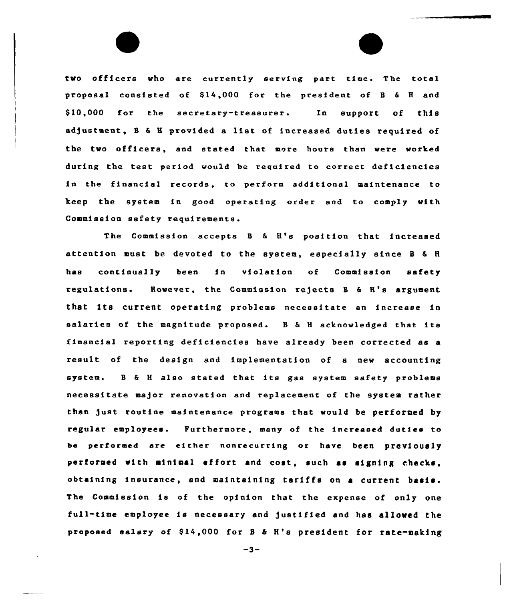two officers who are currently serving part time. The total proposal consisted of Sl&,000 for the president of <sup>B</sup> & <sup>H</sup> and \$ 10,000 for the secretary-treasurer. In support of this adjustment, B & H provided a list of increased duties required of the two officers, and stated that more hours than were worked during the test period would be required to correct deficiencies in the financial records, to perform additional maintenance to keep the system in good operating order and to comply with Commission safety requirements.

The Commission accepts <sup>B</sup> & H's position that increased attention must be devoted to the system, especially since <sup>B</sup> & <sup>H</sup> has continually been in violation of Commission safety regulations. However, the Commission rejects B & H's argument that its current operating problems necessitate an increase in salaries of the magnitude proposed. <sup>B</sup> & <sup>H</sup> acknowledged that its financial reporting deficiencies have already been corrected as a result of the design and implementation of a new accounting system. <sup>B</sup> & <sup>H</sup> also stated that its gas system safety problems necessitate ma)or renovation and replacement of the system rather than )ust routine maintenance programs that would be performed by regular employees. Furthermore, many of the increased duties to be performed are either nonrecurring or have been previously performed with minimal effort and cost, such as signing checks, obtaining insurance, and maintaining tariffs on <sup>a</sup> current basis. The Commission is of the opinion that the expense of only one full-time employee is necessary and )ustified and has allowed the proposed salary of \$14,000 for B & H's president for rate-making

 $-3-$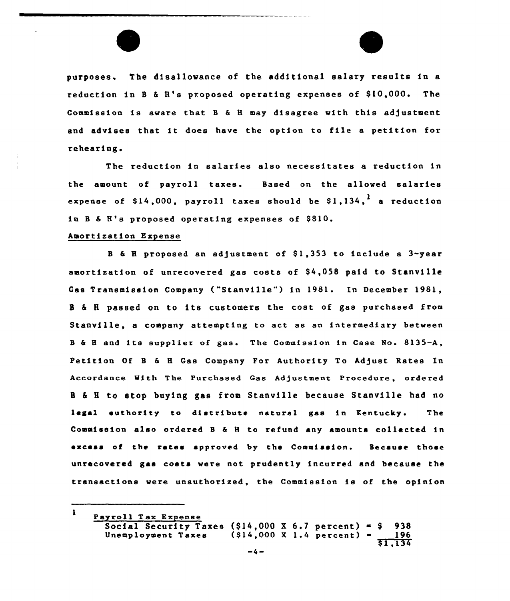purposes. The disallowance of the additional salary results in a reduction in B & H's proposed operating expenses of \$10,000. The Commission is aware that B & H may disagree with this adjustment and advises that it does have the option to file <sup>a</sup> petition for rehearing.

The reduction in salaries also necessitates a reduction in the amount of payroll taxes. Based on the allowed salaries expense of  $$14,000$ , payroll taxes should be  $$1,134$ , a reduction in B & H's proposed operating expenses of \$810.

#### Amortization Expense

B & H proposed an adjustment of \$1,353 to include a 3-year amortization of unrecovered gas costs of \$4,058 paid to Stanville Gas Transmission Company ("Stanville") in 1981. In December 1981, <sup>B</sup> <sup>6</sup> <sup>H</sup> passed on to its customers the cost of gae purchased from Stanville, a company attempting to act as an intermediary between B & H and its supplier of gas. The Commission in Case No. 8135-A, Petition Of B & H Gas Company For Authority To Adjust Rates In Accordance With The Purchased Gas Ad3ustment Procedure, ordered <sup>11</sup> & I to stop buying gas from Stanville because Stanville had no legal euthority to distribute natural gas in Kentucky. The Commission also ordered <sup>B</sup> & 8 to refund any amounts collected in excess of the rates approved by the Commission. Because those unrecovered gas costs were not prudently incurred and because the transactions were unauthorized, the Commission is of the opinion

 $\mathbf{I}$ Payroll Tax Expense Social Security Taxes  $(914,000 \tImes 6.7 \tDercent) = 938$ <br>Unemployment Taxes  $(914,000 \tImes 1.4 \tDercent) = 196$  $(S14,000 \t X 1.4 \t percent) =$ \$ 1,134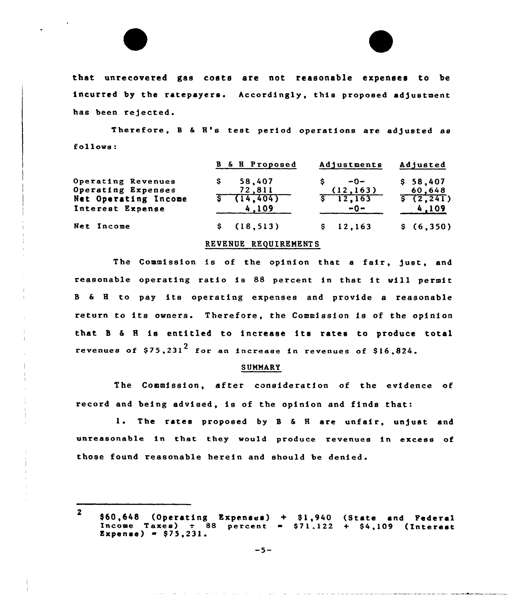that unrecovered gas costs are not reasonable expenses to be incurred by the ratepayers. Accordingly, this proposed adjustment has been rejected.

Therefore, B & H's test period operations are adjusted as follows:

|                                                                                      | <b>B</b> & <b>H</b> Proposed            | Adjustments                                      | Adjusted                                      |  |
|--------------------------------------------------------------------------------------|-----------------------------------------|--------------------------------------------------|-----------------------------------------------|--|
| Operating Revenues<br>Operating Expenses<br>Net Operating Income<br>Interest Expense | 58,407<br>72,811<br>\$714,404]<br>4.109 | $-0-$<br>(12, 163)<br>$\sqrt{5}$ 12,163<br>$-0-$ | \$58,407<br>60,648<br>$\sqrt{2,241}$<br>4,109 |  |
| Net Income                                                                           | \$(18, 513)                             | \$12,163                                         | \$(6,350)                                     |  |

#### REVENUE REQUIRENENTS

The Commission is of the opinion that a fair, just, and reasonable operating ratio is <sup>88</sup> percent in that it will permit <sup>B</sup> & 8 to pay its operating expenses and provide <sup>a</sup> reasonable return to its owners. Therefore, the Commission is of the opinion that <sup>B</sup> & 8 is entitled to increase its rates to produce total revenues of  $$75,231<sup>2</sup>$  for an increase in revenues of  $$16,824$ .

## **SUMMARY**

The Commission, after consideration of the evidence of record and being advised, is of the opinion and finds that:

1. The rates proposed by B & H are unfair, unjust and unreasonable in that they would produce revenues in excess of those found reasonable herein and should be denied.

<sup>2</sup> \$60,648 (Operating Expenses) + \$1,940 (State and Federal Income Taxes)  $\div$  88 percent = \$71.122 + \$4,109 (Interest<br>Expense) = \$75.231.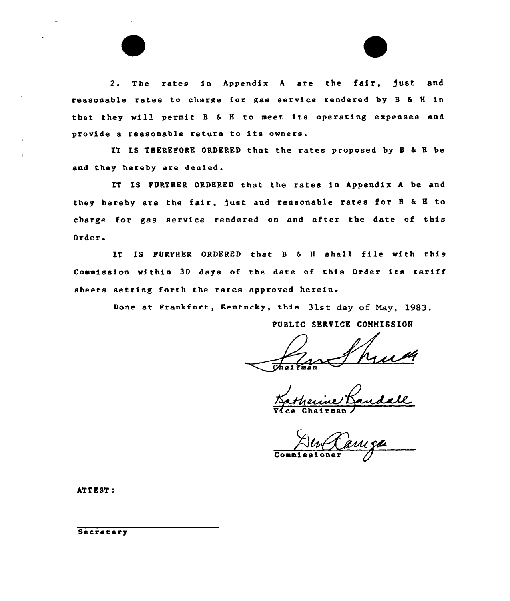2. The rates in Appendix <sup>A</sup> are the fair, )ust and reasonable rates to charge for gas service rendered by <sup>B</sup> & <sup>H</sup> in that they will permit <sup>B</sup> & <sup>H</sup> to meet its operating expenses and provide <sup>a</sup> reasonable return to its owners.

IT IS THEREFORE ORDERED that the rates proposed by <sup>B</sup> & <sup>H</sup> be and they hereby are denied.

IT IS FURTHER ORDERED that the rates in Appendix <sup>A</sup> be and they hereby are the fair, )ust and reasonable rates for <sup>B</sup> & <sup>H</sup> to charge for gas service rendered on and after the date of this Order <sup>~</sup>

IT IS FURTHER ORDERED that B & H shall file with this Commission within 30 days of the date of this Order its tariff sheets setting forth the rates approved herein.

Done at Frankfort, Kentucky, this 31st day of May, 1983.

PUBLIC SERVICE CONHISSION

Vdce <u>her</u> Chairma .<br>ne/<br>rmar ヺ゙

Commissione

ATT EST:

Secretary